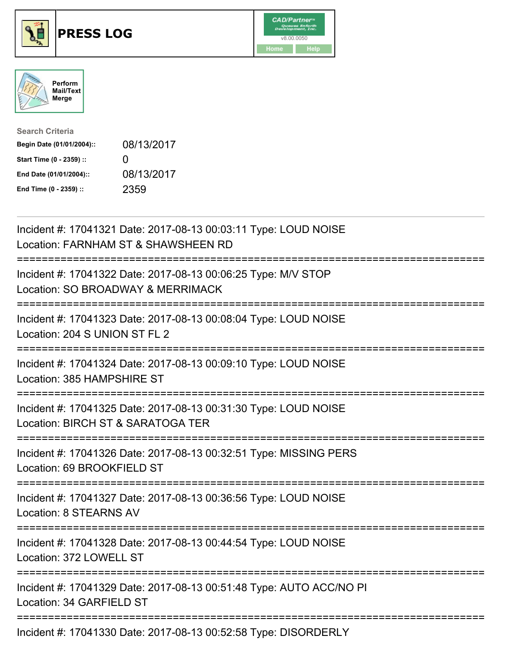





| <b>Search Criteria</b>    |                   |
|---------------------------|-------------------|
| Begin Date (01/01/2004):: | 08/13/2017        |
| Start Time (0 - 2359) ::  | $\mathbf{\Omega}$ |
| End Date (01/01/2004)::   | 08/13/2017        |
| End Time (0 - 2359) ::    | 2359              |

| Incident #: 17041321 Date: 2017-08-13 00:03:11 Type: LOUD NOISE<br>Location: FARNHAM ST & SHAWSHEEN RD                               |
|--------------------------------------------------------------------------------------------------------------------------------------|
| Incident #: 17041322 Date: 2017-08-13 00:06:25 Type: M/V STOP<br>Location: SO BROADWAY & MERRIMACK                                   |
| Incident #: 17041323 Date: 2017-08-13 00:08:04 Type: LOUD NOISE<br>Location: 204 S UNION ST FL 2<br>===================              |
| Incident #: 17041324 Date: 2017-08-13 00:09:10 Type: LOUD NOISE<br>Location: 385 HAMPSHIRE ST                                        |
| Incident #: 17041325 Date: 2017-08-13 00:31:30 Type: LOUD NOISE<br>Location: BIRCH ST & SARATOGA TER<br>============================ |
| Incident #: 17041326 Date: 2017-08-13 00:32:51 Type: MISSING PERS<br>Location: 69 BROOKFIELD ST                                      |
| Incident #: 17041327 Date: 2017-08-13 00:36:56 Type: LOUD NOISE<br>Location: 8 STEARNS AV                                            |
| Incident #: 17041328 Date: 2017-08-13 00:44:54 Type: LOUD NOISE<br>Location: 372 LOWELL ST                                           |
| Incident #: 17041329 Date: 2017-08-13 00:51:48 Type: AUTO ACC/NO PI<br>Location: 34 GARFIELD ST                                      |
| Incident #: 17041330 Date: 2017-08-13 00:52:58 Type: DISORDERLY                                                                      |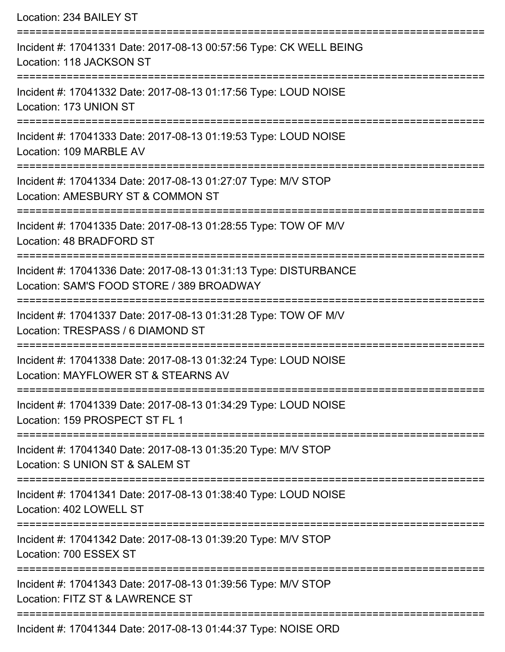| Location: 234 BAILEY ST                                                                                       |
|---------------------------------------------------------------------------------------------------------------|
| Incident #: 17041331 Date: 2017-08-13 00:57:56 Type: CK WELL BEING<br>Location: 118 JACKSON ST                |
| Incident #: 17041332 Date: 2017-08-13 01:17:56 Type: LOUD NOISE<br>Location: 173 UNION ST                     |
| Incident #: 17041333 Date: 2017-08-13 01:19:53 Type: LOUD NOISE<br>Location: 109 MARBLE AV                    |
| Incident #: 17041334 Date: 2017-08-13 01:27:07 Type: M/V STOP<br>Location: AMESBURY ST & COMMON ST            |
| Incident #: 17041335 Date: 2017-08-13 01:28:55 Type: TOW OF M/V<br>Location: 48 BRADFORD ST                   |
| Incident #: 17041336 Date: 2017-08-13 01:31:13 Type: DISTURBANCE<br>Location: SAM'S FOOD STORE / 389 BROADWAY |
| Incident #: 17041337 Date: 2017-08-13 01:31:28 Type: TOW OF M/V<br>Location: TRESPASS / 6 DIAMOND ST          |
| Incident #: 17041338 Date: 2017-08-13 01:32:24 Type: LOUD NOISE<br>Location: MAYFLOWER ST & STEARNS AV        |
| Incident #: 17041339 Date: 2017-08-13 01:34:29 Type: LOUD NOISE<br>Location: 159 PROSPECT ST FL 1             |
| Incident #: 17041340 Date: 2017-08-13 01:35:20 Type: M/V STOP<br>Location: S UNION ST & SALEM ST              |
| Incident #: 17041341 Date: 2017-08-13 01:38:40 Type: LOUD NOISE<br>Location: 402 LOWELL ST                    |
| Incident #: 17041342 Date: 2017-08-13 01:39:20 Type: M/V STOP<br>Location: 700 ESSEX ST                       |
| Incident #: 17041343 Date: 2017-08-13 01:39:56 Type: M/V STOP<br>Location: FITZ ST & LAWRENCE ST              |
| Incident #: 17041344 Date: 2017-08-13 01:44:37 Type: NOISE ORD                                                |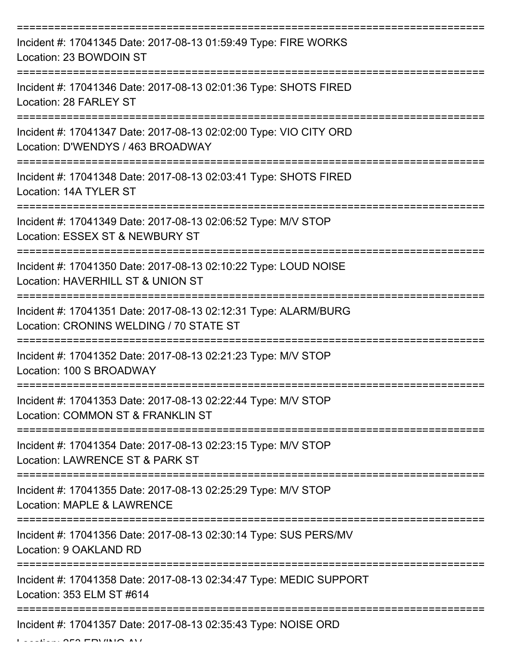| Incident #: 17041345 Date: 2017-08-13 01:59:49 Type: FIRE WORKS<br>Location: 23 BOWDOIN ST                 |
|------------------------------------------------------------------------------------------------------------|
| Incident #: 17041346 Date: 2017-08-13 02:01:36 Type: SHOTS FIRED<br>Location: 28 FARLEY ST                 |
| Incident #: 17041347 Date: 2017-08-13 02:02:00 Type: VIO CITY ORD<br>Location: D'WENDYS / 463 BROADWAY     |
| Incident #: 17041348 Date: 2017-08-13 02:03:41 Type: SHOTS FIRED<br>Location: 14A TYLER ST                 |
| Incident #: 17041349 Date: 2017-08-13 02:06:52 Type: M/V STOP<br>Location: ESSEX ST & NEWBURY ST           |
| Incident #: 17041350 Date: 2017-08-13 02:10:22 Type: LOUD NOISE<br>Location: HAVERHILL ST & UNION ST       |
| Incident #: 17041351 Date: 2017-08-13 02:12:31 Type: ALARM/BURG<br>Location: CRONINS WELDING / 70 STATE ST |
| Incident #: 17041352 Date: 2017-08-13 02:21:23 Type: M/V STOP<br>Location: 100 S BROADWAY                  |
| Incident #: 17041353 Date: 2017-08-13 02:22:44 Type: M/V STOP<br>Location: COMMON ST & FRANKLIN ST         |
| Incident #: 17041354 Date: 2017-08-13 02:23:15 Type: M/V STOP<br>Location: LAWRENCE ST & PARK ST           |
| Incident #: 17041355 Date: 2017-08-13 02:25:29 Type: M/V STOP<br>Location: MAPLE & LAWRENCE                |
| Incident #: 17041356 Date: 2017-08-13 02:30:14 Type: SUS PERS/MV<br>Location: 9 OAKLAND RD                 |
| Incident #: 17041358 Date: 2017-08-13 02:34:47 Type: MEDIC SUPPORT<br>Location: 353 ELM ST #614            |
| Incident #: 17041357 Date: 2017-08-13 02:35:43 Type: NOISE ORD                                             |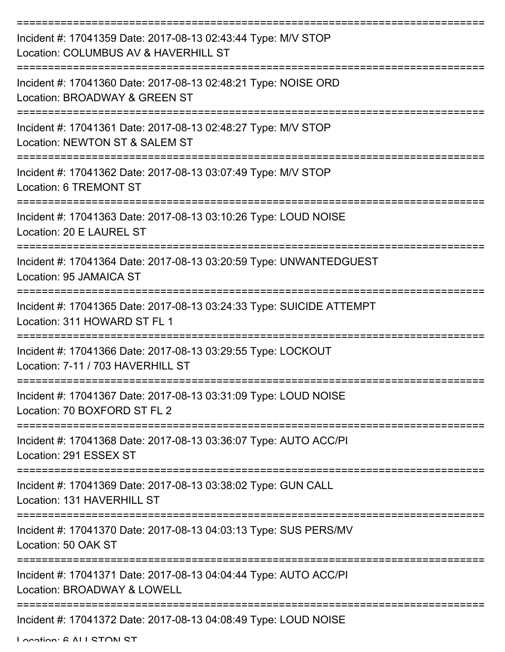| Incident #: 17041359 Date: 2017-08-13 02:43:44 Type: M/V STOP<br>Location: COLUMBUS AV & HAVERHILL ST   |
|---------------------------------------------------------------------------------------------------------|
| Incident #: 17041360 Date: 2017-08-13 02:48:21 Type: NOISE ORD<br>Location: BROADWAY & GREEN ST         |
| Incident #: 17041361 Date: 2017-08-13 02:48:27 Type: M/V STOP<br>Location: NEWTON ST & SALEM ST         |
| Incident #: 17041362 Date: 2017-08-13 03:07:49 Type: M/V STOP<br><b>Location: 6 TREMONT ST</b>          |
| Incident #: 17041363 Date: 2017-08-13 03:10:26 Type: LOUD NOISE<br>Location: 20 E LAUREL ST             |
| Incident #: 17041364 Date: 2017-08-13 03:20:59 Type: UNWANTEDGUEST<br>Location: 95 JAMAICA ST           |
| Incident #: 17041365 Date: 2017-08-13 03:24:33 Type: SUICIDE ATTEMPT<br>Location: 311 HOWARD ST FL 1    |
| Incident #: 17041366 Date: 2017-08-13 03:29:55 Type: LOCKOUT<br>Location: 7-11 / 703 HAVERHILL ST       |
| Incident #: 17041367 Date: 2017-08-13 03:31:09 Type: LOUD NOISE<br>Location: 70 BOXFORD ST FL 2         |
| Incident #: 17041368 Date: 2017-08-13 03:36:07 Type: AUTO ACC/PI<br>Location: 291 ESSEX ST              |
| Incident #: 17041369 Date: 2017-08-13 03:38:02 Type: GUN CALL<br>Location: 131 HAVERHILL ST             |
| Incident #: 17041370 Date: 2017-08-13 04:03:13 Type: SUS PERS/MV<br>Location: 50 OAK ST                 |
| Incident #: 17041371 Date: 2017-08-13 04:04:44 Type: AUTO ACC/PI<br>Location: BROADWAY & LOWELL         |
| ------------------------------------<br>Incident #: 17041372 Date: 2017-08-13 04:08:49 Type: LOUD NOISE |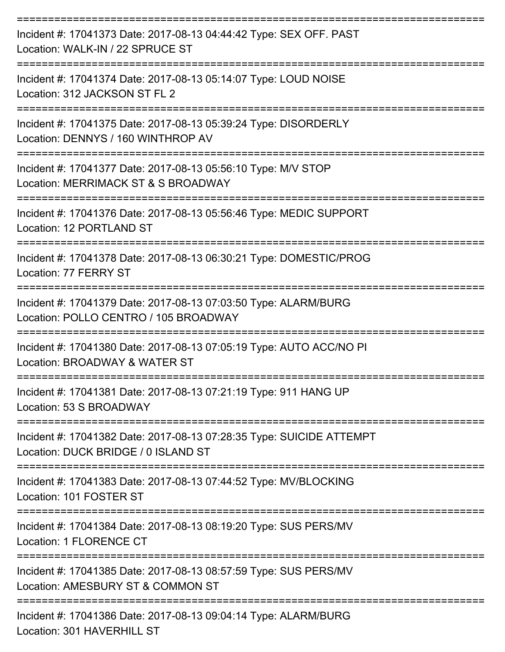| Incident #: 17041373 Date: 2017-08-13 04:44:42 Type: SEX OFF. PAST<br>Location: WALK-IN / 22 SPRUCE ST                   |
|--------------------------------------------------------------------------------------------------------------------------|
| Incident #: 17041374 Date: 2017-08-13 05:14:07 Type: LOUD NOISE<br>Location: 312 JACKSON ST FL 2                         |
| Incident #: 17041375 Date: 2017-08-13 05:39:24 Type: DISORDERLY<br>Location: DENNYS / 160 WINTHROP AV                    |
| Incident #: 17041377 Date: 2017-08-13 05:56:10 Type: M/V STOP<br>Location: MERRIMACK ST & S BROADWAY                     |
| Incident #: 17041376 Date: 2017-08-13 05:56:46 Type: MEDIC SUPPORT<br>Location: 12 PORTLAND ST                           |
| Incident #: 17041378 Date: 2017-08-13 06:30:21 Type: DOMESTIC/PROG<br>Location: 77 FERRY ST                              |
| Incident #: 17041379 Date: 2017-08-13 07:03:50 Type: ALARM/BURG<br>Location: POLLO CENTRO / 105 BROADWAY                 |
| Incident #: 17041380 Date: 2017-08-13 07:05:19 Type: AUTO ACC/NO PI<br>Location: BROADWAY & WATER ST                     |
| Incident #: 17041381 Date: 2017-08-13 07:21:19 Type: 911 HANG UP<br>Location: 53 S BROADWAY<br>--------------            |
| Incident #: 17041382 Date: 2017-08-13 07:28:35 Type: SUICIDE ATTEMPT<br>Location: DUCK BRIDGE / 0 ISLAND ST              |
| Incident #: 17041383 Date: 2017-08-13 07:44:52 Type: MV/BLOCKING<br>Location: 101 FOSTER ST                              |
| =========================<br>Incident #: 17041384 Date: 2017-08-13 08:19:20 Type: SUS PERS/MV<br>Location: 1 FLORENCE CT |
| Incident #: 17041385 Date: 2017-08-13 08:57:59 Type: SUS PERS/MV<br>Location: AMESBURY ST & COMMON ST                    |
| Incident #: 17041386 Date: 2017-08-13 09:04:14 Type: ALARM/BURG                                                          |

Location: 301 HAVERHILL ST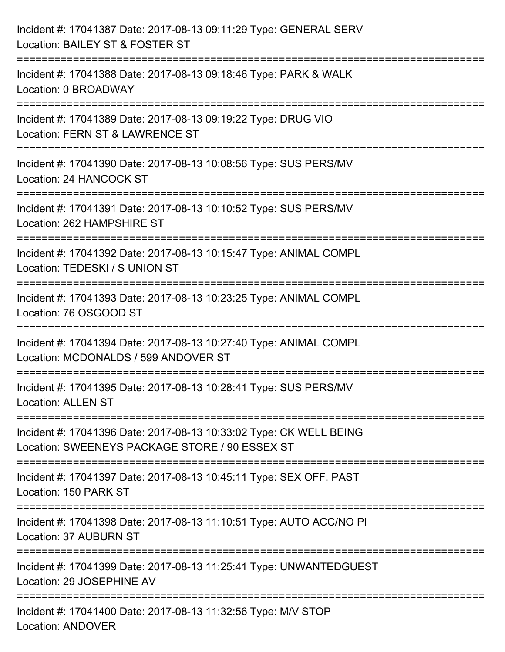| Incident #: 17041387 Date: 2017-08-13 09:11:29 Type: GENERAL SERV<br>Location: BAILEY ST & FOSTER ST                 |
|----------------------------------------------------------------------------------------------------------------------|
| Incident #: 17041388 Date: 2017-08-13 09:18:46 Type: PARK & WALK<br>Location: 0 BROADWAY                             |
| Incident #: 17041389 Date: 2017-08-13 09:19:22 Type: DRUG VIO<br>Location: FERN ST & LAWRENCE ST                     |
| Incident #: 17041390 Date: 2017-08-13 10:08:56 Type: SUS PERS/MV<br>Location: 24 HANCOCK ST                          |
| Incident #: 17041391 Date: 2017-08-13 10:10:52 Type: SUS PERS/MV<br>Location: 262 HAMPSHIRE ST                       |
| Incident #: 17041392 Date: 2017-08-13 10:15:47 Type: ANIMAL COMPL<br>Location: TEDESKI / S UNION ST                  |
| Incident #: 17041393 Date: 2017-08-13 10:23:25 Type: ANIMAL COMPL<br>Location: 76 OSGOOD ST                          |
| Incident #: 17041394 Date: 2017-08-13 10:27:40 Type: ANIMAL COMPL<br>Location: MCDONALDS / 599 ANDOVER ST            |
| Incident #: 17041395 Date: 2017-08-13 10:28:41 Type: SUS PERS/MV<br><b>Location: ALLEN ST</b>                        |
| Incident #: 17041396 Date: 2017-08-13 10:33:02 Type: CK WELL BEING<br>Location: SWEENEYS PACKAGE STORE / 90 ESSEX ST |
| Incident #: 17041397 Date: 2017-08-13 10:45:11 Type: SEX OFF. PAST<br>Location: 150 PARK ST                          |
| Incident #: 17041398 Date: 2017-08-13 11:10:51 Type: AUTO ACC/NO PI<br>Location: 37 AUBURN ST                        |
| Incident #: 17041399 Date: 2017-08-13 11:25:41 Type: UNWANTEDGUEST<br>Location: 29 JOSEPHINE AV                      |
| Incident #: 17041400 Date: 2017-08-13 11:32:56 Type: M/V STOP<br><b>Location: ANDOVER</b>                            |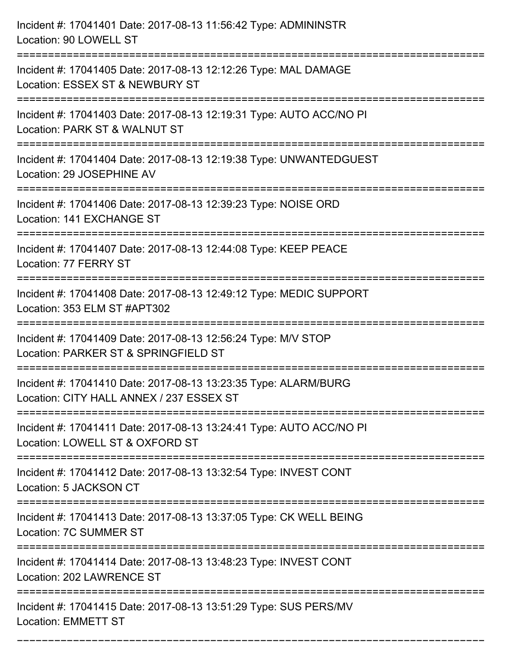| Incident #: 17041401 Date: 2017-08-13 11:56:42 Type: ADMININSTR<br>Location: 90 LOWELL ST                                          |
|------------------------------------------------------------------------------------------------------------------------------------|
| Incident #: 17041405 Date: 2017-08-13 12:12:26 Type: MAL DAMAGE<br>Location: ESSEX ST & NEWBURY ST                                 |
| Incident #: 17041403 Date: 2017-08-13 12:19:31 Type: AUTO ACC/NO PI<br>Location: PARK ST & WALNUT ST<br>:========================= |
| Incident #: 17041404 Date: 2017-08-13 12:19:38 Type: UNWANTEDGUEST<br>Location: 29 JOSEPHINE AV                                    |
| Incident #: 17041406 Date: 2017-08-13 12:39:23 Type: NOISE ORD<br>Location: 141 EXCHANGE ST                                        |
| Incident #: 17041407 Date: 2017-08-13 12:44:08 Type: KEEP PEACE<br>Location: 77 FERRY ST                                           |
| Incident #: 17041408 Date: 2017-08-13 12:49:12 Type: MEDIC SUPPORT<br>Location: 353 ELM ST #APT302                                 |
| Incident #: 17041409 Date: 2017-08-13 12:56:24 Type: M/V STOP<br>Location: PARKER ST & SPRINGFIELD ST                              |
| Incident #: 17041410 Date: 2017-08-13 13:23:35 Type: ALARM/BURG<br>Location: CITY HALL ANNEX / 237 ESSEX ST                        |
| Incident #: 17041411 Date: 2017-08-13 13:24:41 Type: AUTO ACC/NO PI<br>Location: LOWELL ST & OXFORD ST                             |
| Incident #: 17041412 Date: 2017-08-13 13:32:54 Type: INVEST CONT<br>Location: 5 JACKSON CT                                         |
| Incident #: 17041413 Date: 2017-08-13 13:37:05 Type: CK WELL BEING<br><b>Location: 7C SUMMER ST</b>                                |
| Incident #: 17041414 Date: 2017-08-13 13:48:23 Type: INVEST CONT<br>Location: 202 LAWRENCE ST                                      |
| Incident #: 17041415 Date: 2017-08-13 13:51:29 Type: SUS PERS/MV<br><b>Location: EMMETT ST</b>                                     |

===========================================================================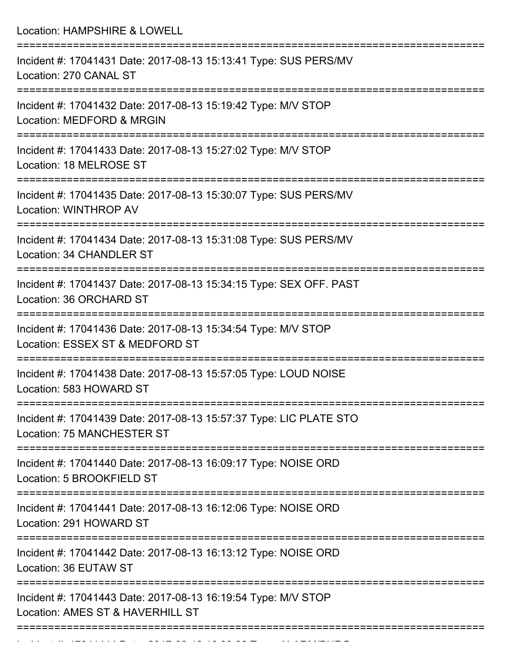Location: HAMPSHIRE & LOWELL

| Incident #: 17041431 Date: 2017-08-13 15:13:41 Type: SUS PERS/MV<br>Location: 270 CANAL ST                     |
|----------------------------------------------------------------------------------------------------------------|
| Incident #: 17041432 Date: 2017-08-13 15:19:42 Type: M/V STOP<br>Location: MEDFORD & MRGIN                     |
| Incident #: 17041433 Date: 2017-08-13 15:27:02 Type: M/V STOP<br>Location: 18 MELROSE ST                       |
| Incident #: 17041435 Date: 2017-08-13 15:30:07 Type: SUS PERS/MV<br>Location: WINTHROP AV                      |
| Incident #: 17041434 Date: 2017-08-13 15:31:08 Type: SUS PERS/MV<br><b>Location: 34 CHANDLER ST</b>            |
| Incident #: 17041437 Date: 2017-08-13 15:34:15 Type: SEX OFF. PAST<br>Location: 36 ORCHARD ST                  |
| Incident #: 17041436 Date: 2017-08-13 15:34:54 Type: M/V STOP<br>Location: ESSEX ST & MEDFORD ST               |
| Incident #: 17041438 Date: 2017-08-13 15:57:05 Type: LOUD NOISE<br>Location: 583 HOWARD ST                     |
| Incident #: 17041439 Date: 2017-08-13 15:57:37 Type: LIC PLATE STO<br>Location: 75 MANCHESTER ST               |
| :==============<br>Incident #: 17041440 Date: 2017-08-13 16:09:17 Type: NOISE ORD<br>Location: 5 BROOKFIELD ST |
| Incident #: 17041441 Date: 2017-08-13 16:12:06 Type: NOISE ORD<br>Location: 291 HOWARD ST                      |
| Incident #: 17041442 Date: 2017-08-13 16:13:12 Type: NOISE ORD<br>Location: 36 EUTAW ST                        |
| Incident #: 17041443 Date: 2017-08-13 16:19:54 Type: M/V STOP<br>Location: AMES ST & HAVERHILL ST              |
|                                                                                                                |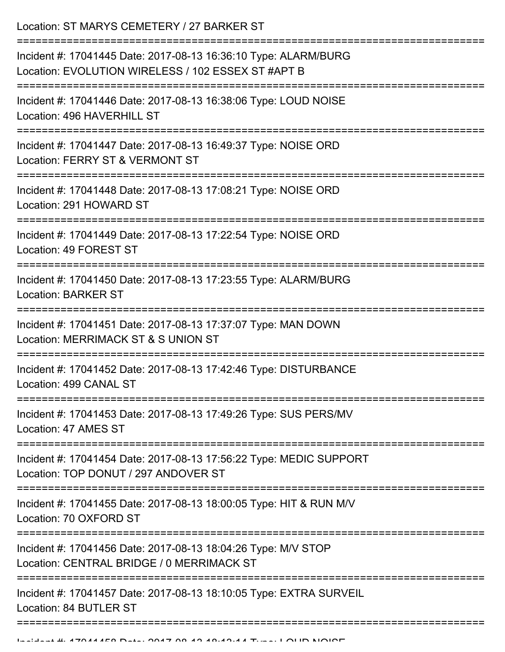Location: ST MARYS CEMETERY / 27 BARKER ST

| Incident #: 17041445 Date: 2017-08-13 16:36:10 Type: ALARM/BURG<br>Location: EVOLUTION WIRELESS / 102 ESSEX ST #APT B |
|-----------------------------------------------------------------------------------------------------------------------|
| Incident #: 17041446 Date: 2017-08-13 16:38:06 Type: LOUD NOISE<br>Location: 496 HAVERHILL ST                         |
| Incident #: 17041447 Date: 2017-08-13 16:49:37 Type: NOISE ORD<br>Location: FERRY ST & VERMONT ST                     |
| Incident #: 17041448 Date: 2017-08-13 17:08:21 Type: NOISE ORD<br>Location: 291 HOWARD ST                             |
| Incident #: 17041449 Date: 2017-08-13 17:22:54 Type: NOISE ORD<br>Location: 49 FOREST ST                              |
| Incident #: 17041450 Date: 2017-08-13 17:23:55 Type: ALARM/BURG<br><b>Location: BARKER ST</b>                         |
| Incident #: 17041451 Date: 2017-08-13 17:37:07 Type: MAN DOWN<br>Location: MERRIMACK ST & S UNION ST                  |
| Incident #: 17041452 Date: 2017-08-13 17:42:46 Type: DISTURBANCE<br>Location: 499 CANAL ST                            |
| Incident #: 17041453 Date: 2017-08-13 17:49:26 Type: SUS PERS/MV<br>Location: 47 AMES ST                              |
| Incident #: 17041454 Date: 2017-08-13 17:56:22 Type: MEDIC SUPPORT<br>Location: TOP DONUT / 297 ANDOVER ST            |
| Incident #: 17041455 Date: 2017-08-13 18:00:05 Type: HIT & RUN M/V<br>Location: 70 OXFORD ST                          |
| Incident #: 17041456 Date: 2017-08-13 18:04:26 Type: M/V STOP<br>Location: CENTRAL BRIDGE / 0 MERRIMACK ST            |
| Incident #: 17041457 Date: 2017-08-13 18:10:05 Type: EXTRA SURVEIL<br>Location: 84 BUTLER ST                          |
|                                                                                                                       |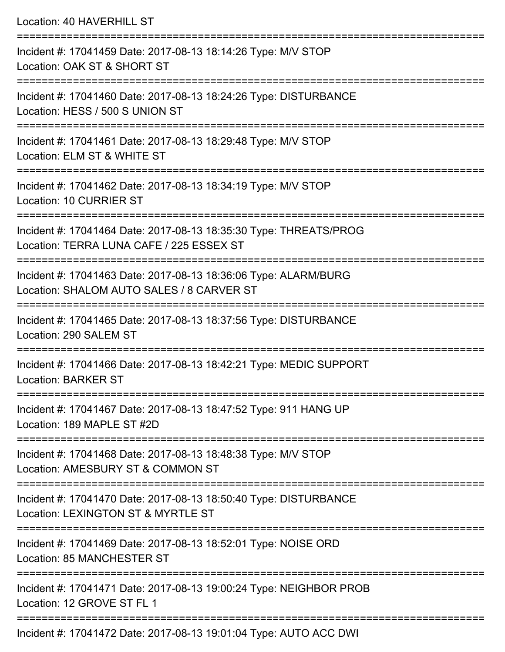Location: 40 HAVERHILL ST =========================================================================== Incident #: 17041459 Date: 2017-08-13 18:14:26 Type: M/V STOP Location: OAK ST & SHORT ST =========================================================================== Incident #: 17041460 Date: 2017-08-13 18:24:26 Type: DISTURBANCE Location: HESS / 500 S UNION ST =========================================================================== Incident #: 17041461 Date: 2017-08-13 18:29:48 Type: M/V STOP Location: ELM ST & WHITE ST =========================================================================== Incident #: 17041462 Date: 2017-08-13 18:34:19 Type: M/V STOP Location: 10 CURRIER ST =========================================================================== Incident #: 17041464 Date: 2017-08-13 18:35:30 Type: THREATS/PROG Location: TERRA LUNA CAFE / 225 ESSEX ST =========================================================================== Incident #: 17041463 Date: 2017-08-13 18:36:06 Type: ALARM/BURG Location: SHALOM AUTO SALES / 8 CARVER ST =========================================================================== Incident #: 17041465 Date: 2017-08-13 18:37:56 Type: DISTURBANCE Location: 290 SALEM ST =========================================================================== Incident #: 17041466 Date: 2017-08-13 18:42:21 Type: MEDIC SUPPORT Location: BARKER ST =========================================================================== Incident #: 17041467 Date: 2017-08-13 18:47:52 Type: 911 HANG UP Location: 189 MAPLE ST #2D =========================================================================== Incident #: 17041468 Date: 2017-08-13 18:48:38 Type: M/V STOP Location: AMESBURY ST & COMMON ST =========================================================================== Incident #: 17041470 Date: 2017-08-13 18:50:40 Type: DISTURBANCE Location: LEXINGTON ST & MYRTLE ST =========================================================================== Incident #: 17041469 Date: 2017-08-13 18:52:01 Type: NOISE ORD Location: 85 MANCHESTER ST =========================================================================== Incident #: 17041471 Date: 2017-08-13 19:00:24 Type: NEIGHBOR PROB Location: 12 GROVE ST FL 1 ===========================================================================

Incident #: 17041472 Date: 2017-08-13 19:01:04 Type: AUTO ACC DWI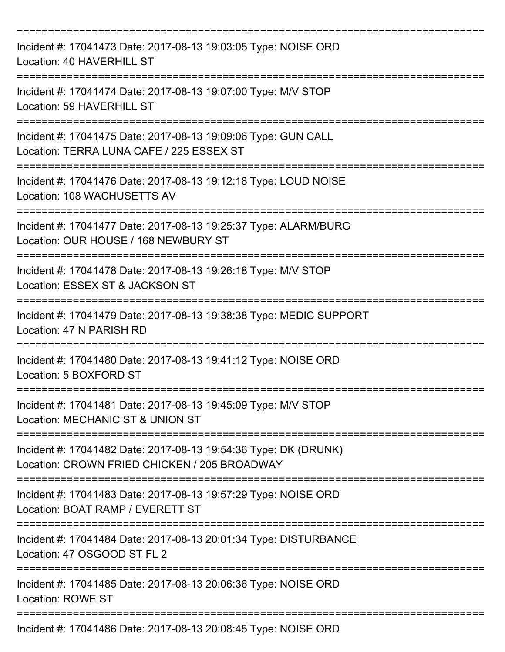| Incident #: 17041473 Date: 2017-08-13 19:03:05 Type: NOISE ORD<br>Location: 40 HAVERHILL ST                                         |
|-------------------------------------------------------------------------------------------------------------------------------------|
| Incident #: 17041474 Date: 2017-08-13 19:07:00 Type: M/V STOP<br>Location: 59 HAVERHILL ST                                          |
| Incident #: 17041475 Date: 2017-08-13 19:09:06 Type: GUN CALL<br>Location: TERRA LUNA CAFE / 225 ESSEX ST<br>====================== |
| Incident #: 17041476 Date: 2017-08-13 19:12:18 Type: LOUD NOISE<br>Location: 108 WACHUSETTS AV                                      |
| Incident #: 17041477 Date: 2017-08-13 19:25:37 Type: ALARM/BURG<br>Location: OUR HOUSE / 168 NEWBURY ST                             |
| Incident #: 17041478 Date: 2017-08-13 19:26:18 Type: M/V STOP<br>Location: ESSEX ST & JACKSON ST                                    |
| ----------------<br>Incident #: 17041479 Date: 2017-08-13 19:38:38 Type: MEDIC SUPPORT<br>Location: 47 N PARISH RD                  |
| Incident #: 17041480 Date: 2017-08-13 19:41:12 Type: NOISE ORD<br>Location: 5 BOXFORD ST                                            |
| Incident #: 17041481 Date: 2017-08-13 19:45:09 Type: M/V STOP<br>Location: MECHANIC ST & UNION ST                                   |
| Incident #: 17041482 Date: 2017-08-13 19:54:36 Type: DK (DRUNK)<br>Location: CROWN FRIED CHICKEN / 205 BROADWAY                     |
| Incident #: 17041483 Date: 2017-08-13 19:57:29 Type: NOISE ORD<br>Location: BOAT RAMP / EVERETT ST                                  |
| Incident #: 17041484 Date: 2017-08-13 20:01:34 Type: DISTURBANCE<br>Location: 47 OSGOOD ST FL 2                                     |
| Incident #: 17041485 Date: 2017-08-13 20:06:36 Type: NOISE ORD<br><b>Location: ROWE ST</b>                                          |
| Incident #: 17041486 Date: 2017-08-13 20:08:45 Type: NOISE ORD                                                                      |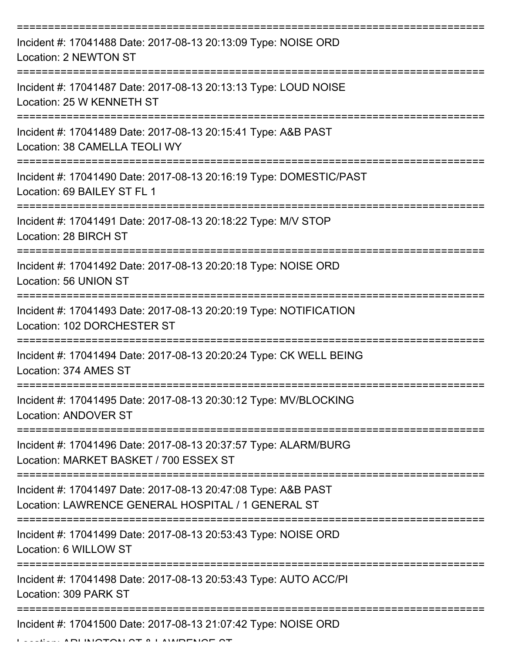| Incident #: 17041488 Date: 2017-08-13 20:13:09 Type: NOISE ORD<br>Location: 2 NEWTON ST                             |
|---------------------------------------------------------------------------------------------------------------------|
| Incident #: 17041487 Date: 2017-08-13 20:13:13 Type: LOUD NOISE<br>Location: 25 W KENNETH ST                        |
| Incident #: 17041489 Date: 2017-08-13 20:15:41 Type: A&B PAST<br>Location: 38 CAMELLA TEOLI WY                      |
| Incident #: 17041490 Date: 2017-08-13 20:16:19 Type: DOMESTIC/PAST<br>Location: 69 BAILEY ST FL 1                   |
| Incident #: 17041491 Date: 2017-08-13 20:18:22 Type: M/V STOP<br>Location: 28 BIRCH ST                              |
| Incident #: 17041492 Date: 2017-08-13 20:20:18 Type: NOISE ORD<br>Location: 56 UNION ST                             |
| Incident #: 17041493 Date: 2017-08-13 20:20:19 Type: NOTIFICATION<br>Location: 102 DORCHESTER ST                    |
| Incident #: 17041494 Date: 2017-08-13 20:20:24 Type: CK WELL BEING<br>Location: 374 AMES ST                         |
| Incident #: 17041495 Date: 2017-08-13 20:30:12 Type: MV/BLOCKING<br>Location: ANDOVER ST                            |
| Incident #: 17041496 Date: 2017-08-13 20:37:57 Type: ALARM/BURG<br>Location: MARKET BASKET / 700 ESSEX ST           |
| Incident #: 17041497 Date: 2017-08-13 20:47:08 Type: A&B PAST<br>Location: LAWRENCE GENERAL HOSPITAL / 1 GENERAL ST |
| Incident #: 17041499 Date: 2017-08-13 20:53:43 Type: NOISE ORD<br>Location: 6 WILLOW ST                             |
| Incident #: 17041498 Date: 2017-08-13 20:53:43 Type: AUTO ACC/PI<br>Location: 309 PARK ST                           |
| Incident #: 17041500 Date: 2017-08-13 21:07:42 Type: NOISE ORD                                                      |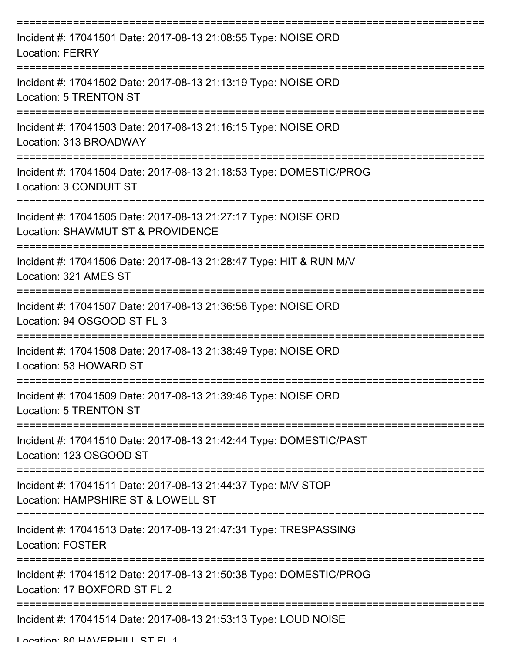| Incident #: 17041501 Date: 2017-08-13 21:08:55 Type: NOISE ORD<br><b>Location: FERRY</b>                                  |
|---------------------------------------------------------------------------------------------------------------------------|
| Incident #: 17041502 Date: 2017-08-13 21:13:19 Type: NOISE ORD<br>Location: 5 TRENTON ST                                  |
| Incident #: 17041503 Date: 2017-08-13 21:16:15 Type: NOISE ORD<br>Location: 313 BROADWAY                                  |
| Incident #: 17041504 Date: 2017-08-13 21:18:53 Type: DOMESTIC/PROG<br>Location: 3 CONDUIT ST                              |
| ==================<br>Incident #: 17041505 Date: 2017-08-13 21:27:17 Type: NOISE ORD<br>Location: SHAWMUT ST & PROVIDENCE |
| Incident #: 17041506 Date: 2017-08-13 21:28:47 Type: HIT & RUN M/V<br>Location: 321 AMES ST                               |
| Incident #: 17041507 Date: 2017-08-13 21:36:58 Type: NOISE ORD<br>Location: 94 OSGOOD ST FL 3                             |
| Incident #: 17041508 Date: 2017-08-13 21:38:49 Type: NOISE ORD<br>Location: 53 HOWARD ST                                  |
| Incident #: 17041509 Date: 2017-08-13 21:39:46 Type: NOISE ORD<br>Location: 5 TRENTON ST                                  |
| Incident #: 17041510 Date: 2017-08-13 21:42:44 Type: DOMESTIC/PAST<br>Location: 123 OSGOOD ST                             |
| Incident #: 17041511 Date: 2017-08-13 21:44:37 Type: M/V STOP<br>Location: HAMPSHIRE ST & LOWELL ST                       |
| Incident #: 17041513 Date: 2017-08-13 21:47:31 Type: TRESPASSING<br><b>Location: FOSTER</b>                               |
| Incident #: 17041512 Date: 2017-08-13 21:50:38 Type: DOMESTIC/PROG<br>Location: 17 BOXFORD ST FL 2                        |
| Incident #: 17041514 Date: 2017-08-13 21:53:13 Type: LOUD NOISE                                                           |

Location: 80 HAVEDHILL ST FL 1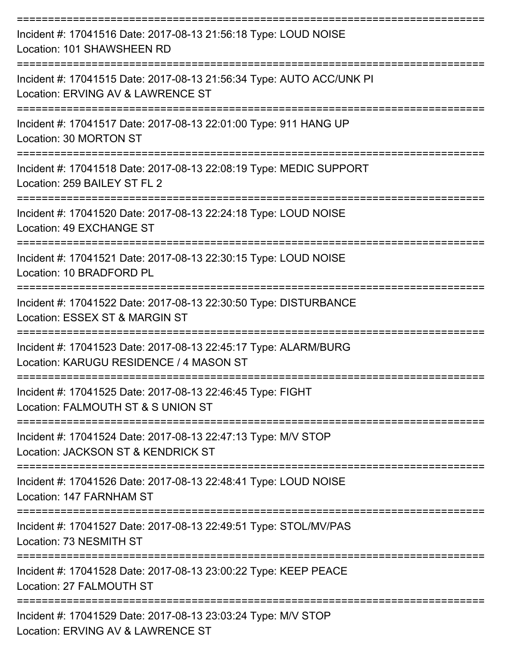| Incident #: 17041516 Date: 2017-08-13 21:56:18 Type: LOUD NOISE<br>Location: 101 SHAWSHEEN RD              |
|------------------------------------------------------------------------------------------------------------|
| Incident #: 17041515 Date: 2017-08-13 21:56:34 Type: AUTO ACC/UNK PI<br>Location: ERVING AV & LAWRENCE ST  |
| Incident #: 17041517 Date: 2017-08-13 22:01:00 Type: 911 HANG UP<br>Location: 30 MORTON ST                 |
| Incident #: 17041518 Date: 2017-08-13 22:08:19 Type: MEDIC SUPPORT<br>Location: 259 BAILEY ST FL 2         |
| Incident #: 17041520 Date: 2017-08-13 22:24:18 Type: LOUD NOISE<br>Location: 49 EXCHANGE ST                |
| Incident #: 17041521 Date: 2017-08-13 22:30:15 Type: LOUD NOISE<br>Location: 10 BRADFORD PL                |
| Incident #: 17041522 Date: 2017-08-13 22:30:50 Type: DISTURBANCE<br>Location: ESSEX ST & MARGIN ST         |
| Incident #: 17041523 Date: 2017-08-13 22:45:17 Type: ALARM/BURG<br>Location: KARUGU RESIDENCE / 4 MASON ST |
| Incident #: 17041525 Date: 2017-08-13 22:46:45 Type: FIGHT<br>Location: FALMOUTH ST & S UNION ST           |
| Incident #: 17041524 Date: 2017-08-13 22:47:13 Type: M/V STOP<br>Location: JACKSON ST & KENDRICK ST        |
| Incident #: 17041526 Date: 2017-08-13 22:48:41 Type: LOUD NOISE<br>Location: 147 FARNHAM ST                |
| Incident #: 17041527 Date: 2017-08-13 22:49:51 Type: STOL/MV/PAS<br>Location: 73 NESMITH ST                |
| Incident #: 17041528 Date: 2017-08-13 23:00:22 Type: KEEP PEACE<br>Location: 27 FALMOUTH ST                |
| Incident #: 17041529 Date: 2017-08-13 23:03:24 Type: M/V STOP<br>Location: ERVING AV & LAWRENCE ST         |